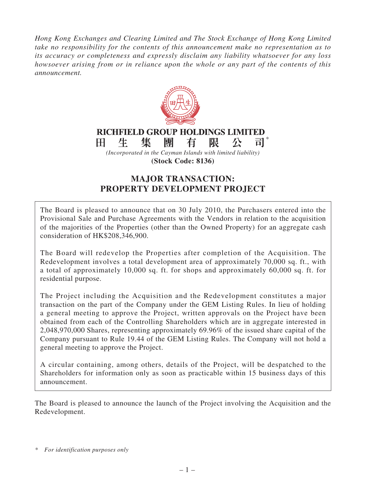*Hong Kong Exchanges and Clearing Limited and The Stock Exchange of Hong Kong Limited take no responsibility for the contents of this announcement make no representation as to its accuracy or completeness and expressly disclaim any liability whatsoever for any loss howsoever arising from or in reliance upon the whole or any part of the contents of this announcement.*



# **MAJOR TRANSACTION: PROPERTY DEVELOPMENT PROJECT**

The Board is pleased to announce that on 30 July 2010, the Purchasers entered into the Provisional Sale and Purchase Agreements with the Vendors in relation to the acquisition of the majorities of the Properties (other than the Owned Property) for an aggregate cash consideration of HK\$208,346,900.

The Board will redevelop the Properties after completion of the Acquisition. The Redevelopment involves a total development area of approximately 70,000 sq. ft., with a total of approximately 10,000 sq. ft. for shops and approximately 60,000 sq. ft. for residential purpose.

The Project including the Acquisition and the Redevelopment constitutes a major transaction on the part of the Company under the GEM Listing Rules. In lieu of holding a general meeting to approve the Project, written approvals on the Project have been obtained from each of the Controlling Shareholders which are in aggregate interested in 2,048,970,000 Shares, representing approximately 69.96% of the issued share capital of the Company pursuant to Rule 19.44 of the GEM Listing Rules. The Company will not hold a general meeting to approve the Project.

A circular containing, among others, details of the Project, will be despatched to the Shareholders for information only as soon as practicable within 15 business days of this announcement.

The Board is pleased to announce the launch of the Project involving the Acquisition and the Redevelopment.

*<sup>\*</sup> For identification purposes only*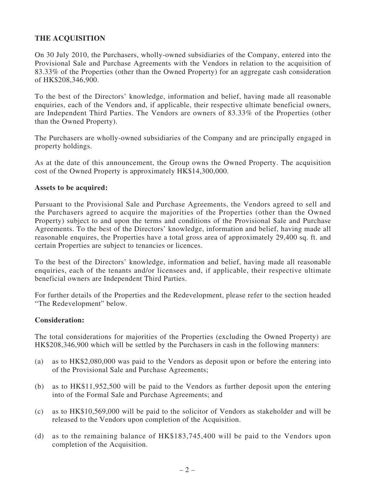### **THE ACQUISITION**

On 30 July 2010, the Purchasers, wholly-owned subsidiaries of the Company, entered into the Provisional Sale and Purchase Agreements with the Vendors in relation to the acquisition of 83.33% of the Properties (other than the Owned Property) for an aggregate cash consideration of HK\$208,346,900.

To the best of the Directors' knowledge, information and belief, having made all reasonable enquiries, each of the Vendors and, if applicable, their respective ultimate beneficial owners, are Independent Third Parties. The Vendors are owners of 83.33% of the Properties (other than the Owned Property).

The Purchasers are wholly-owned subsidiaries of the Company and are principally engaged in property holdings.

As at the date of this announcement, the Group owns the Owned Property. The acquisition cost of the Owned Property is approximately HK\$14,300,000.

#### **Assets to be acquired:**

Pursuant to the Provisional Sale and Purchase Agreements, the Vendors agreed to sell and the Purchasers agreed to acquire the majorities of the Properties (other than the Owned Property) subject to and upon the terms and conditions of the Provisional Sale and Purchase Agreements. To the best of the Directors' knowledge, information and belief, having made all reasonable enquires, the Properties have a total gross area of approximately 29,400 sq. ft. and certain Properties are subject to tenancies or licences.

To the best of the Directors' knowledge, information and belief, having made all reasonable enquiries, each of the tenants and/or licensees and, if applicable, their respective ultimate beneficial owners are Independent Third Parties.

For further details of the Properties and the Redevelopment, please refer to the section headed "The Redevelopment" below.

#### **Consideration:**

The total considerations for majorities of the Properties (excluding the Owned Property) are HK\$208,346,900 which will be settled by the Purchasers in cash in the following manners:

- (a) as to HK\$2,080,000 was paid to the Vendors as deposit upon or before the entering into of the Provisional Sale and Purchase Agreements;
- (b) as to HK\$11,952,500 will be paid to the Vendors as further deposit upon the entering into of the Formal Sale and Purchase Agreements; and
- (c) as to HK\$10,569,000 will be paid to the solicitor of Vendors as stakeholder and will be released to the Vendors upon completion of the Acquisition.
- (d) as to the remaining balance of HK\$183,745,400 will be paid to the Vendors upon completion of the Acquisition.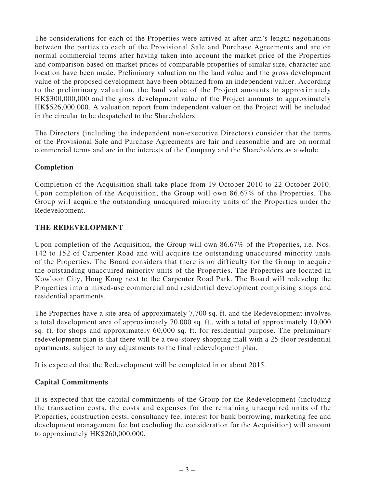The considerations for each of the Properties were arrived at after arm's length negotiations between the parties to each of the Provisional Sale and Purchase Agreements and are on normal commercial terms after having taken into account the market price of the Properties and comparison based on market prices of comparable properties of similar size, character and location have been made. Preliminary valuation on the land value and the gross development value of the proposed development have been obtained from an independent valuer. According to the preliminary valuation, the land value of the Project amounts to approximately HK\$300,000,000 and the gross development value of the Project amounts to approximately HK\$526,000,000. A valuation report from independent valuer on the Project will be included in the circular to be despatched to the Shareholders.

The Directors (including the independent non-executive Directors) consider that the terms of the Provisional Sale and Purchase Agreements are fair and reasonable and are on normal commercial terms and are in the interests of the Company and the Shareholders as a whole.

### **Completion**

Completion of the Acquisition shall take place from 19 October 2010 to 22 October 2010. Upon completion of the Acquisition, the Group will own 86.67% of the Properties. The Group will acquire the outstanding unacquired minority units of the Properties under the Redevelopment.

### **THE REDEVELOPMENT**

Upon completion of the Acquisition, the Group will own 86.67% of the Properties, i.e. Nos. 142 to 152 of Carpenter Road and will acquire the outstanding unacquired minority units of the Properties. The Board considers that there is no difficulty for the Group to acquire the outstanding unacquired minority units of the Properties. The Properties are located in Kowloon City, Hong Kong next to the Carpenter Road Park. The Board will redevelop the Properties into a mixed-use commercial and residential development comprising shops and residential apartments.

The Properties have a site area of approximately 7,700 sq. ft. and the Redevelopment involves a total development area of approximately 70,000 sq. ft., with a total of approximately 10,000 sq. ft. for shops and approximately 60,000 sq. ft. for residential purpose. The preliminary redevelopment plan is that there will be a two-storey shopping mall with a 25-floor residential apartments, subject to any adjustments to the final redevelopment plan.

It is expected that the Redevelopment will be completed in or about 2015.

## **Capital Commitments**

It is expected that the capital commitments of the Group for the Redevelopment (including the transaction costs, the costs and expenses for the remaining unacquired units of the Properties, construction costs, consultancy fee, interest for bank borrowing, marketing fee and development management fee but excluding the consideration for the Acquisition) will amount to approximately HK\$260,000,000.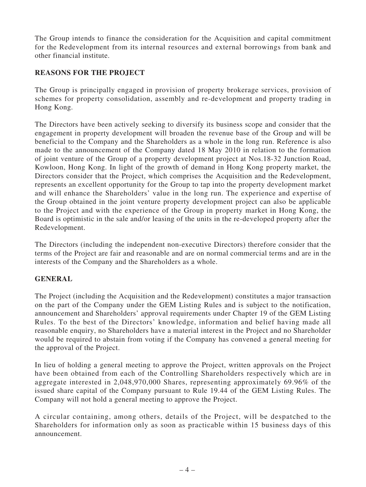The Group intends to finance the consideration for the Acquisition and capital commitment for the Redevelopment from its internal resources and external borrowings from bank and other financial institute.

### **REASONS FOR THE PROJECT**

The Group is principally engaged in provision of property brokerage services, provision of schemes for property consolidation, assembly and re-development and property trading in Hong Kong.

The Directors have been actively seeking to diversify its business scope and consider that the engagement in property development will broaden the revenue base of the Group and will be beneficial to the Company and the Shareholders as a whole in the long run. Reference is also made to the announcement of the Company dated 18 May 2010 in relation to the formation of joint venture of the Group of a property development project at Nos.18-32 Junction Road, Kowloon, Hong Kong. In light of the growth of demand in Hong Kong property market, the Directors consider that the Project, which comprises the Acquisition and the Redevelopment, represents an excellent opportunity for the Group to tap into the property development market and will enhance the Shareholders' value in the long run. The experience and expertise of the Group obtained in the joint venture property development project can also be applicable to the Project and with the experience of the Group in property market in Hong Kong, the Board is optimistic in the sale and/or leasing of the units in the re-developed property after the Redevelopment.

The Directors (including the independent non-executive Directors) therefore consider that the terms of the Project are fair and reasonable and are on normal commercial terms and are in the interests of the Company and the Shareholders as a whole.

#### **GENERAL**

The Project (including the Acquisition and the Redevelopment) constitutes a major transaction on the part of the Company under the GEM Listing Rules and is subject to the notification, announcement and Shareholders' approval requirements under Chapter 19 of the GEM Listing Rules. To the best of the Directors' knowledge, information and belief having made all reasonable enquiry, no Shareholders have a material interest in the Project and no Shareholder would be required to abstain from voting if the Company has convened a general meeting for the approval of the Project.

In lieu of holding a general meeting to approve the Project, written approvals on the Project have been obtained from each of the Controlling Shareholders respectively which are in aggregate interested in 2,048,970,000 Shares, representing approximately 69.96% of the issued share capital of the Company pursuant to Rule 19.44 of the GEM Listing Rules. The Company will not hold a general meeting to approve the Project.

A circular containing, among others, details of the Project, will be despatched to the Shareholders for information only as soon as practicable within 15 business days of this announcement.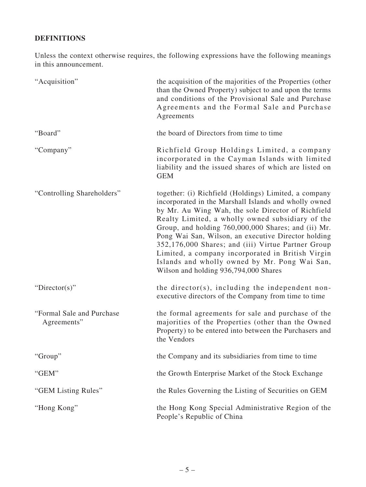## **DEFINITIONS**

Unless the context otherwise requires, the following expressions have the following meanings in this announcement.

| "Acquisition"                             | the acquisition of the majorities of the Properties (other<br>than the Owned Property) subject to and upon the terms<br>and conditions of the Provisional Sale and Purchase<br>Agreements and the Formal Sale and Purchase<br>Agreements                                                                                                                                                                                                                                                                                                    |
|-------------------------------------------|---------------------------------------------------------------------------------------------------------------------------------------------------------------------------------------------------------------------------------------------------------------------------------------------------------------------------------------------------------------------------------------------------------------------------------------------------------------------------------------------------------------------------------------------|
| "Board"                                   | the board of Directors from time to time                                                                                                                                                                                                                                                                                                                                                                                                                                                                                                    |
| "Company"                                 | Richfield Group Holdings Limited, a company<br>incorporated in the Cayman Islands with limited<br>liability and the issued shares of which are listed on<br><b>GEM</b>                                                                                                                                                                                                                                                                                                                                                                      |
| "Controlling Shareholders"                | together: (i) Richfield (Holdings) Limited, a company<br>incorporated in the Marshall Islands and wholly owned<br>by Mr. Au Wing Wah, the sole Director of Richfield<br>Realty Limited, a wholly owned subsidiary of the<br>Group, and holding 760,000,000 Shares; and (ii) Mr.<br>Pong Wai San, Wilson, an executive Director holding<br>352,176,000 Shares; and (iii) Virtue Partner Group<br>Limited, a company incorporated in British Virgin<br>Islands and wholly owned by Mr. Pong Wai San,<br>Wilson and holding 936,794,000 Shares |
| "Director(s)"                             | the director(s), including the independent non-<br>executive directors of the Company from time to time                                                                                                                                                                                                                                                                                                                                                                                                                                     |
| "Formal Sale and Purchase"<br>Agreements" | the formal agreements for sale and purchase of the<br>majorities of the Properties (other than the Owned<br>Property) to be entered into between the Purchasers and<br>the Vendors                                                                                                                                                                                                                                                                                                                                                          |
| "Group"                                   | the Company and its subsidiaries from time to time                                                                                                                                                                                                                                                                                                                                                                                                                                                                                          |
| "GEM"                                     | the Growth Enterprise Market of the Stock Exchange                                                                                                                                                                                                                                                                                                                                                                                                                                                                                          |
| "GEM Listing Rules"                       | the Rules Governing the Listing of Securities on GEM                                                                                                                                                                                                                                                                                                                                                                                                                                                                                        |
| "Hong Kong"                               | the Hong Kong Special Administrative Region of the<br>People's Republic of China                                                                                                                                                                                                                                                                                                                                                                                                                                                            |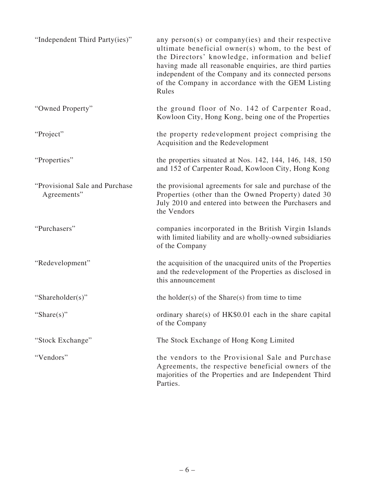| "Independent Third Party(ies)"                | any person(s) or company(ies) and their respective<br>ultimate beneficial owner(s) whom, to the best of<br>the Directors' knowledge, information and belief<br>having made all reasonable enquiries, are third parties<br>independent of the Company and its connected persons<br>of the Company in accordance with the GEM Listing<br>Rules |
|-----------------------------------------------|----------------------------------------------------------------------------------------------------------------------------------------------------------------------------------------------------------------------------------------------------------------------------------------------------------------------------------------------|
| "Owned Property"                              | the ground floor of No. 142 of Carpenter Road,<br>Kowloon City, Hong Kong, being one of the Properties                                                                                                                                                                                                                                       |
| "Project"                                     | the property redevelopment project comprising the<br>Acquisition and the Redevelopment                                                                                                                                                                                                                                                       |
| "Properties"                                  | the properties situated at Nos. 142, 144, 146, 148, 150<br>and 152 of Carpenter Road, Kowloon City, Hong Kong                                                                                                                                                                                                                                |
| "Provisional Sale and Purchase<br>Agreements" | the provisional agreements for sale and purchase of the<br>Properties (other than the Owned Property) dated 30<br>July 2010 and entered into between the Purchasers and<br>the Vendors                                                                                                                                                       |
| "Purchasers"                                  | companies incorporated in the British Virgin Islands<br>with limited liability and are wholly-owned subsidiaries<br>of the Company                                                                                                                                                                                                           |
| "Redevelopment"                               | the acquisition of the unacquired units of the Properties<br>and the redevelopment of the Properties as disclosed in<br>this announcement                                                                                                                                                                                                    |
| "Shareholder(s)"                              | the holder(s) of the Share(s) from time to time                                                                                                                                                                                                                                                                                              |
| "Share $(s)$ "                                | ordinary share(s) of HK\$0.01 each in the share capital<br>of the Company                                                                                                                                                                                                                                                                    |
| "Stock Exchange"                              | The Stock Exchange of Hong Kong Limited                                                                                                                                                                                                                                                                                                      |
| "Vendors"                                     | the vendors to the Provisional Sale and Purchase<br>Agreements, the respective beneficial owners of the<br>majorities of the Properties and are Independent Third<br>Parties.                                                                                                                                                                |